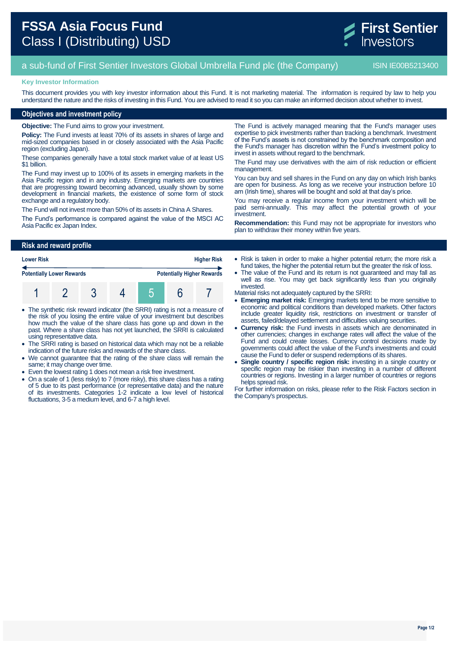

# a sub-fund of First Sentier Investors Global Umbrella Fund plc (the Company) ISIN IE00B5213400

### **Key Investor Information**

This document provides you with key investor information about this Fund. It is not marketing material. The information is required by law to help you understand the nature and the risks of investing in this Fund. You are advised to read it so you can make an informed decision about whether to invest.

## **Objectives and investment policy**

**Objective:** The Fund aims to grow your investment.

**Policy:** The Fund invests at least 70% of its assets in shares of large and mid-sized companies based in or closely associated with the Asia Pacific region (excluding Japan).

These companies generally have a total stock market value of at least US \$1 billion.

The Fund may invest up to 100% of its assets in emerging markets in the Asia Pacific region and in any industry. Emerging markets are countries that are progressing toward becoming advanced, usually shown by some development in financial markets, the existence of some form of stock exchange and a regulatory body.

The Fund will not invest more than 50% of its assets in China A Shares.

The Fund's performance is compared against the value of the MSCI AC Asia Pacific ex Japan Index.

The Fund is actively managed meaning that the Fund's manager uses expertise to pick investments rather than tracking a benchmark. Investment of the Fund's assets is not constrained by the benchmark composition and the Fund's manager has discretion within the Fund's investment policy to invest in assets without regard to the benchmark.

The Fund may use derivatives with the aim of risk reduction or efficient management.

You can buy and sell shares in the Fund on any day on which Irish banks are open for business. As long as we receive your instruction before 10 am (Irish time), shares will be bought and sold at that day's price.

You may receive a regular income from your investment which will be paid semi-annually. This may affect the potential growth of your investment.

**Recommendation:** this Fund may not be appropriate for investors who plan to withdraw their money within five years.

# **Risk and reward profile**

| <b>Lower Risk</b>                |  | <b>Higher Risk</b> |  |  |                                   |
|----------------------------------|--|--------------------|--|--|-----------------------------------|
| <b>Potentially Lower Rewards</b> |  |                    |  |  | <b>Potentially Higher Rewards</b> |
|                                  |  |                    |  |  |                                   |

- The synthetic risk reward indicator (the SRRI) rating is not a measure of the risk of you losing the entire value of your investment but describes how much the value of the share class has gone up and down in the past. Where a share class has not yet launched, the SRRI is calculated using representative data.
- The SRRI rating is based on historical data which may not be a reliable indication of the future risks and rewards of the share class.
- We cannot guarantee that the rating of the share class will remain the same; it may change over time.
- Even the lowest rating 1 does not mean a risk free investment.
- On a scale of 1 (less risky) to 7 (more risky), this share class has a rating of 5 due to its past performance (or representative data) and the nature of its investments. Categories 1-2 indicate a low level of historical fluctuations, 3-5 a medium level, and 6-7 a high level.
- Risk is taken in order to make a higher potential return; the more risk a fund takes, the higher the potential return but the greater the risk of loss.
- The value of the Fund and its return is not guaranteed and may fall as well as rise. You may get back significantly less than you originally invested.

Material risks not adequately captured by the SRRI:

- **Emerging market risk:** Emerging markets tend to be more sensitive to economic and political conditions than developed markets. Other factors include greater liquidity risk, restrictions on investment or transfer of assets, failed/delayed settlement and difficulties valuing securities.
- **Currency risk:** the Fund invests in assets which are denominated in other currencies; changes in exchange rates will affect the value of the Fund and could create losses. Currency control decisions made by governments could affect the value of the Fund's investments and could cause the Fund to defer or suspend redemptions of its shares.
- **Single country / specific region risk:** investing in a single country or specific region may be riskier than investing in a number of different countries or regions. Investing in a larger number of countries or regions helps spread risk.

For further information on risks, please refer to the Risk Factors section in the Company's prospectus.